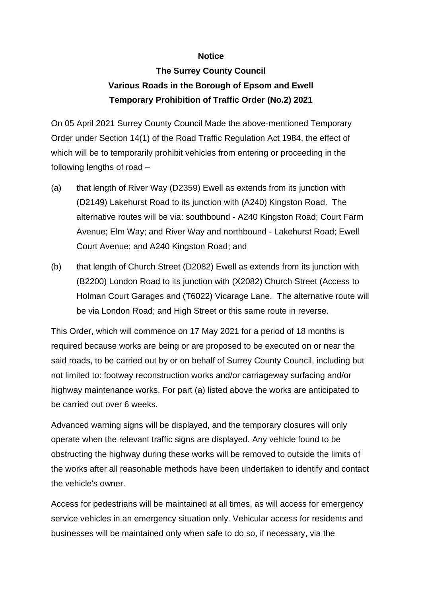## **Notice**

## **The Surrey County Council Various Roads in the Borough of Epsom and Ewell Temporary Prohibition of Traffic Order (No.2) 2021**

On 05 April 2021 Surrey County Council Made the above-mentioned Temporary Order under Section 14(1) of the Road Traffic Regulation Act 1984, the effect of which will be to temporarily prohibit vehicles from entering or proceeding in the following lengths of road –

- (a) that length of River Way (D2359) Ewell as extends from its junction with (D2149) Lakehurst Road to its junction with (A240) Kingston Road. The alternative routes will be via: southbound - A240 Kingston Road; Court Farm Avenue; Elm Way; and River Way and northbound - Lakehurst Road; Ewell Court Avenue; and A240 Kingston Road; and
- (b) that length of Church Street (D2082) Ewell as extends from its junction with (B2200) London Road to its junction with (X2082) Church Street (Access to Holman Court Garages and (T6022) Vicarage Lane. The alternative route will be via London Road; and High Street or this same route in reverse.

This Order, which will commence on 17 May 2021 for a period of 18 months is required because works are being or are proposed to be executed on or near the said roads, to be carried out by or on behalf of Surrey County Council, including but not limited to: footway reconstruction works and/or carriageway surfacing and/or highway maintenance works. For part (a) listed above the works are anticipated to be carried out over 6 weeks.

Advanced warning signs will be displayed, and the temporary closures will only operate when the relevant traffic signs are displayed. Any vehicle found to be obstructing the highway during these works will be removed to outside the limits of the works after all reasonable methods have been undertaken to identify and contact the vehicle's owner.

Access for pedestrians will be maintained at all times, as will access for emergency service vehicles in an emergency situation only. Vehicular access for residents and businesses will be maintained only when safe to do so, if necessary, via the